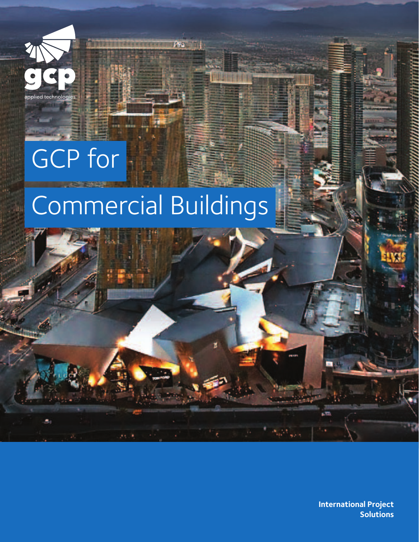

# GCP for

# Commercial Buildings

Ara .



**International Project Solutions**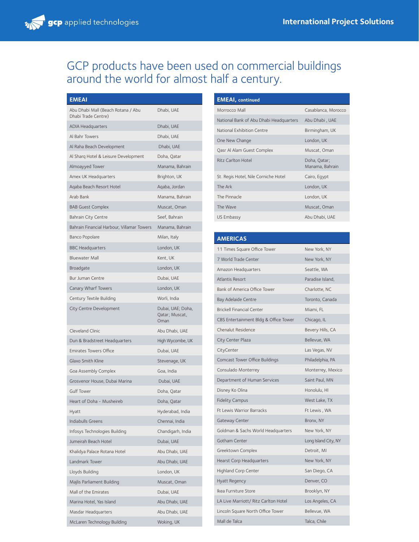## GCP products have been used on commercial buildings around the world for almost half a century.

| EMEAI                                                     |                                             |
|-----------------------------------------------------------|---------------------------------------------|
| Abu Dhabi Mall (Beach Rotana / Abu<br>Dhabi Trade Centre) | Dhabi, UAE                                  |
| <b>ADIA Headquarters</b>                                  | Dhabi, UAE                                  |
| Al Bahr Towers                                            | Dhabi, UAE                                  |
| Al Raha Beach Development                                 | Dhabi, UAE                                  |
| Al Sharg Hotel & Leisure Development                      | Doha, Qatar                                 |
| Almoayyed Tower                                           | Manama, Bahrain                             |
| Amex UK Headquarters                                      | Brighton, UK                                |
| Agaba Beach Resort Hotel                                  | Aqaba, Jordan                               |
| Arab Bank                                                 | Manama, Bahrain                             |
| <b>BAB Guest Complex</b>                                  | Muscat, Oman                                |
| <b>Bahrain City Centre</b>                                | Seef, Bahrain                               |
| Bahrain Financial Harbour, Villamar Towers                | Manama, Bahrain                             |
| Banco Popolare                                            | Milan, Italy                                |
| <b>BBC Headquarters</b>                                   | London, UK                                  |
| <b>Bluewater Mall</b>                                     | Kent, UK                                    |
| Broadgate                                                 | London, UK                                  |
| <b>Bur Juman Centre</b>                                   | Dubai, UAE                                  |
| Canary Wharf Towers                                       | London, UK                                  |
| Century Textile Building                                  | Worli, India                                |
| City Centre Development                                   | Dubai, UAE; Doha,<br>Qatar; Muscat,<br>Oman |
| Cleveland Clinic                                          | Abu Dhabi, UAE                              |
| Dun & Bradstreet Headquarters                             | High Wycombe, UK                            |
| <b>Emirates Towers Office</b>                             | Dubai, UAE                                  |
| Glaxo Smith Kline                                         | Stevenage, UK                               |
| Goa Assembly Complex                                      | Goa, India                                  |
| Grosvenor House, Dubai Marina                             | Dubai, UAE                                  |
| <b>Gulf Tower</b>                                         | Doha, Qatar                                 |
| Heart of Doha - Musheireb                                 | Doha, Qatar                                 |
| Hyatt                                                     | Hyderabad, India                            |
| Indiabulls Greens                                         | Chennai, India                              |
| Infosys Technologies Building                             | Chandigarh, India                           |
| Jumeirah Beach Hotel                                      | Dubai, UAE                                  |
| Khalidya Palace Rotana Hotel                              | Abu Dhabi, UAE                              |
| Landmark Tower                                            | Abu Dhabi, UAE                              |
| Lloyds Building                                           | London, UK                                  |
| Majlis Parliament Building                                | Muscat, Oman                                |
| Mall of the Emirates                                      | Dubai, UAE                                  |
| Marina Hotel, Yas Island                                  | Abu Dhabi, UAE                              |
| Masdar Headquarters                                       | Abu Dhabi, UAE                              |
| McLaren Technology Building                               | Woking, UK                                  |

| <b>EMEAI</b> , continued                |                                 |
|-----------------------------------------|---------------------------------|
| Morrocco Mall                           | Casablanca, Morocco             |
| National Bank of Abu Dhabi Headquarters | Abu Dhabi, UAE                  |
| National Exhibition Centre              | Birmingham, UK                  |
| One New Change                          | London, UK                      |
| Qasr Al Alam Guest Complex              | Muscat, Oman                    |
| Ritz Carlton Hotel                      | Doha, Qatar;<br>Manama, Bahrain |
| St. Regis Hotel, Nile Corniche Hotel    | Cairo, Eqypt                    |
| The Ark                                 | London, UK                      |
| The Pinnacle                            | London, UK                      |
| The Wave                                | Muscat, Oman                    |
| US Embassy                              | Abu Dhabi, UAE                  |
|                                         |                                 |

| <b>AMERICAS</b>                       |                      |
|---------------------------------------|----------------------|
| 11 Times Square Office Tower          | New York, NY         |
| 7 World Trade Center                  | New York, NY         |
| Amazon Headquarters                   | Seattle, WA          |
| Atlantis Resort                       | Paradise Island.     |
| Bank of America Office Tower          | Charlotte, NC        |
| Bay Adelaide Centre                   | Toronto, Canada      |
| <b>Brickell Financial Center</b>      | Miami, FL            |
| CBS Entertainment Bldg & Office Tower | Chicago, IL          |
| Chenalut Residence                    | Bevery Hills, CA     |
| City Center Plaza                     | Bellevue, WA         |
| CityCenter                            | Las Vegas, NV        |
| Comcast Tower Office Buildings        | Philadelphia, PA     |
| Consulado Monterrey                   | Monterrey, Mexico    |
| Department of Human Services          | Saint Paul, MN       |
| Disney Ko Olina                       | Honolulu, HI         |
| <b>Fidelity Campus</b>                | West Lake, TX        |
| <b>Ft Lewis Warrior Barracks</b>      | Ft Lewis, WA         |
| Gateway Center                        | Bronx, NY            |
| Goldman & Sachs World Headquarters    | New York, NY         |
| Gotham Center                         | Long Island City, NY |
| Greektown Complex                     | Detroit, MI          |
| Hearst Corp Headquarters              | New York, NY         |
| Highland Corp Center                  | San Diego, CA        |
| <b>Hyatt Regency</b>                  | Denver, CO           |
| Ikea Furniture Store                  | Brooklyn, NY         |
| LA Live Marriott / Ritz Carlton Hotel | Los Angeles, CA      |
| Lincoln Square North Office Tower     | Bellevue, WA         |
| Mall de Talca                         | Talca, Chile         |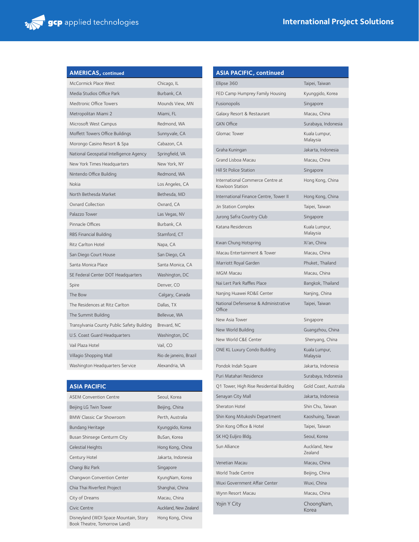| <b>AMERICAS, continued</b>                 |                        |
|--------------------------------------------|------------------------|
| McCormick Place West                       | Chicago, IL            |
| Media Studios Office Park                  | Burbank, CA            |
| Medtronic Office Towers                    | Mounds View, MN        |
| Metropolitan Miami 2                       | Miami, FL              |
| Microsoft West Campus                      | Redmond, WA            |
| Moffett Towers Office Buildings            | Sunnyvale, CA          |
| Morongo Casino Resort & Spa                | Cabazon, CA            |
| National Geospatial Intelligence Agency    | Springfield, VA        |
| New York Times Headquarters                | New York, NY           |
| Nintendo Office Building                   | Redmond, WA            |
| Nokia                                      | Los Angeles, CA        |
| North Bethesda Market                      | Bethesda, MD           |
| Oxnard Collection                          | Oxnard, CA             |
| Palazzo Tower                              | Las Vegas, NV          |
| Pinnacle Offices                           | Burbank, CA            |
| RBS Financial Building                     | Stamford, CT           |
| Ritz Carlton Hotel                         | Napa, CA               |
| San Diego Court House                      | San Diego, CA          |
| Santa Monica Place                         | Santa Monica, CA       |
| SE Federal Center DOT Headquarters         | Washington, DC         |
| Spire                                      | Denver, CO             |
| The Bow                                    | Calgary, Canada        |
| The Residences at Ritz Carlton             | Dallas, TX             |
| The Summit Building                        | Bellevue, WA           |
| Transylvania County Public Safety Building | Brevard, NC            |
| U.S. Coast Guard Headquarters              | Washington, DC         |
| Vail Plaza Hotel                           | Vail, CO               |
| Villagio Shopping Mall                     | Rio de janeiro, Brazil |
| Washington Headquarters Service            | Alexandria, VA         |

| <b>ASIA PACIFIC</b>                                                   |                       |
|-----------------------------------------------------------------------|-----------------------|
| <b>ASEM Convention Centre</b>                                         | Seoul, Korea          |
| Beijing LG Twin Tower                                                 | Beijing, China        |
| <b>BMW Classic Car Showroom</b>                                       | Perth, Australia      |
| Bundang Heritage                                                      | Kyunggido, Korea      |
| Busan Shinsege Centurm City                                           | BuSan, Korea          |
| Celestial Heights                                                     | Hong Kong, China      |
| Century Hotel                                                         | Jakarta, Indonesia    |
| Changi Biz Park                                                       | Singapore             |
| Changwon Convention Center                                            | KyungNam, Korea       |
| Chia Thai Riverfest Project                                           | Shanghai, China       |
| City of Dreams                                                        | Macau, China          |
| Civic Centre                                                          | Auckland, New Zealand |
| Disneyland (WDI Space Mountain, Story<br>Book Theatre, Tomorrow Land) | Hong Kong, China      |

| <b>ASIA PACIFIC, continued</b>                      |                           |
|-----------------------------------------------------|---------------------------|
| Ellipse 360                                         | Taipei, Taiwan            |
| FED Camp Humprey Family Housing                     | Kyunggido, Korea          |
| Fusionopolis                                        | Singapore                 |
| Galaxy Resort & Restaurant                          | Macau, China              |
| <b>GKN Office</b>                                   | Surabaya, Indonesia       |
| Glomac Tower                                        | Kuala Lumpur,<br>Malaysia |
| Graha Kuningan                                      | Jakarta, Indonesia        |
| Grand Lisboa Macau                                  | Macau, China              |
| Hill St Police Station                              | Singapore                 |
| International Commerce Centre at<br>Kowloon Station | Hong Kong, China          |
| International Finance Centre, Tower II              | Hong Kong, China          |
| Jin Station Complex                                 | Taipei, Taiwan            |
| Jurong Safra Country Club                           | Singapore                 |
| Katana Residences                                   | Kuala Lumpur,<br>Malaysia |
| Kwan Chung Hotspring                                | Xi'an, China              |
| Macau Entertainment & Tower                         | Macau, China              |
| Marriott Royal Garden                               | Phuket, Thailand          |
| <b>MGM Macau</b>                                    | Macau, China              |
| Nai Lert Park Raffles Place                         | Bangkok, Thailand         |
| Nanjing Huawei RD&E Center                          | Nanjing, China            |
| National Defensense & Administrative<br>Office      | Taipei, Taiwan            |
| New Asia Tower                                      | Singapore                 |
| New World Building                                  | Guangzhou, China          |
| New World C&E Center                                | Shenyang, China           |
| ONE KL Luxury Condo Building                        | Kuala Lumpur,<br>Malaysia |
| Pondok Indah Square                                 | Jakarta, Indonesia        |
| Puri Matahari Residence                             | Surabaya, Indonesia       |
| Q1 Tower, High Rise Residential Building            | Gold Coast, Australia     |
| Senayan City Mall                                   | Jakarta, Indonesia        |
| Sheraton Hotel                                      | Shin Chu, Taiwan          |
| Shin Kong Mitukoshi Department                      | Kaoshuing, Taiwan         |
| Shin Kong Office & Hotel                            | Taipei, Taiwan            |
| SK HQ Euljiro Bldg.                                 | Seoul, Korea              |
| Sun Alliance                                        | Auckland, New<br>Zealand  |
| Venetian Macau                                      | Macau, China              |
| World Trade Centre                                  | Beijing, China            |
| Wuxi Government Affair Center                       | Wuxi, China               |
| Wynn Resort Macau                                   | Macau, China              |
| Yojin Y City                                        | ChoongNam,<br>Korea       |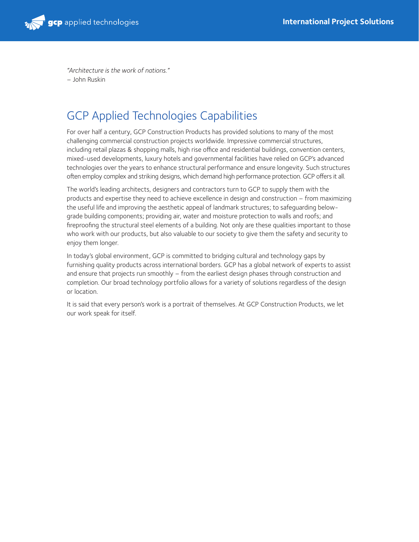

*"Architecture is the work of nations."* – John Ruskin

### GCP Applied Technologies Capabilities

For over half a century, GCP Construction Products has provided solutions to many of the most challenging commercial construction projects worldwide. Impressive commercial structures, including retail plazas & shopping malls, high rise office and residential buildings, convention centers, mixed-used developments, luxury hotels and governmental facilities have relied on GCP's advanced technologies over the years to enhance structural performance and ensure longevity. Such structures often employ complex and striking designs, which demand high performance protection. GCP offers it all.

The world's leading architects, designers and contractors turn to GCP to supply them with the products and expertise they need to achieve excellence in design and construction – from maximizing the useful life and improving the aesthetic appeal of landmark structures; to safeguarding belowgrade building components; providing air, water and moisture protection to walls and roofs; and fireproofing the structural steel elements of a building. Not only are these qualities important to those who work with our products, but also valuable to our society to give them the safety and security to enjoy them longer.

In today's global environment, GCP is committed to bridging cultural and technology gaps by furnishing quality products across international borders. GCP has a global network of experts to assist and ensure that projects run smoothly – from the earliest design phases through construction and completion. Our broad technology portfolio allows for a variety of solutions regardless of the design or location.

It is said that every person's work is a portrait of themselves. At GCP Construction Products, we let our work speak for itself.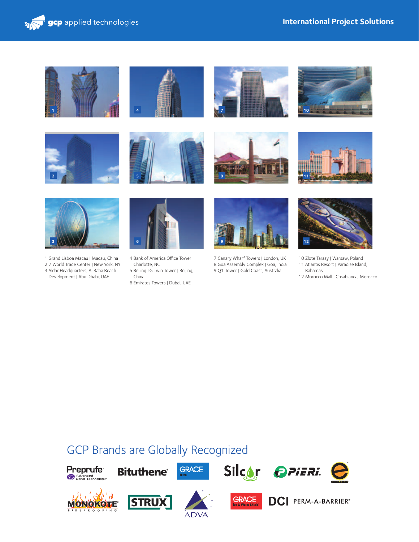















- 1 Grand Lisboa Macau | Macau, China 2 7 World Trade Center | New York, NY
- 3 Aldar Headquarters, Al Raha Beach Development | Abu Dhabi, UAE



- 4 Bank of America Office Tower | Charlotte, NC
- 5 Beijing LG Twin Tower | Beijing,
- China 6 Emirates Towers | Dubai, UAE



7 Canary Wharf Towers | London, UK 8 Goa Assembly Complex | Goa, India 9 Q1 Tower | Gold Coast, Australia



- 10 Zlote Tarasy | Warsaw, Poland 11 Atlantis Resort | Paradise Island, Bahamas
- 12 Morocco Mall | Casablanca, Morocco

## GCP Brands are Globally Recognized

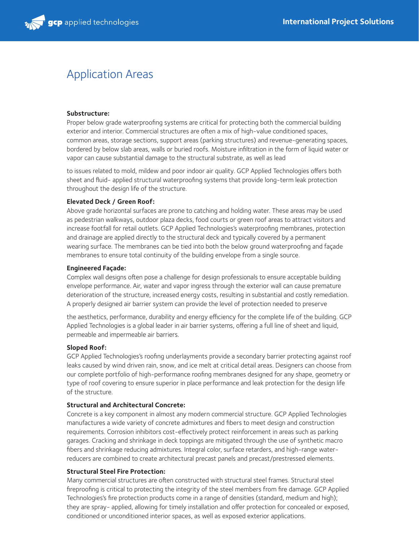## Application Areas

#### **Substructure:**

Proper below grade waterproofing systems are critical for protecting both the commercial building exterior and interior. Commercial structures are often a mix of high-value conditioned spaces, common areas, storage sections, support areas (parking structures) and revenue-generating spaces, bordered by below slab areas, walls or buried roofs. Moisture infiltration in the form of liquid water or vapor can cause substantial damage to the structural substrate, as well as lead

to issues related to mold, mildew and poor indoor air quality. GCP Applied Technologies offers both sheet and fluid- applied structural waterproofing systems that provide long-term leak protection throughout the design life of the structure.

#### **Elevated Deck / Green Roof:**

Above grade horizontal surfaces are prone to catching and holding water. These areas may be used as pedestrian walkways, outdoor plaza decks, food courts or green roof areas to attract visitors and increase footfall for retail outlets. GCP Applied Technologies's waterproofing membranes, protection and drainage are applied directly to the structural deck and typically covered by a permanent wearing surface. The membranes can be tied into both the below ground waterproofing and façade membranes to ensure total continuity of the building envelope from a single source.

#### **Engineered Façade:**

Complex wall designs often pose a challenge for design professionals to ensure acceptable building envelope performance. Air, water and vapor ingress through the exterior wall can cause premature deterioration of the structure, increased energy costs, resulting in substantial and costly remediation. A properly designed air barrier system can provide the level of protection needed to preserve

the aesthetics, performance, durability and energy efficiency for the complete life of the building. GCP Applied Technologies is a global leader in air barrier systems, offering a full line of sheet and liquid, permeable and impermeable air barriers.

#### **Sloped Roof:**

GCP Applied Technologies's roofing underlayments provide a secondary barrier protecting against roof leaks caused by wind driven rain, snow, and ice melt at critical detail areas. Designers can choose from our complete portfolio of high-performance roofing membranes designed for any shape, geometry or type of roof covering to ensure superior in place performance and leak protection for the design life of the structure.

#### **Structural and Architectural Concrete:**

Concrete is a key component in almost any modern commercial structure. GCP Applied Technologies manufactures a wide variety of concrete admixtures and fibers to meet design and construction requirements. Corrosion inhibitors cost-effectively protect reinforcement in areas such as parking garages. Cracking and shrinkage in deck toppings are mitigated through the use of synthetic macro fibers and shrinkage reducing admixtures. Integral color, surface retarders, and high-range waterreducers are combined to create architectural precast panels and precast/prestressed elements.

#### **Structural Steel Fire Protection:**

Many commercial structures are often constructed with structural steel frames. Structural steel fireproofing is critical to protecting the integrity of the steel members from fire damage. GCP Applied Technologies's fire protection products come in a range of densities (standard, medium and high); they are spray- applied, allowing for timely installation and offer protection for concealed or exposed, conditioned or unconditioned interior spaces, as well as exposed exterior applications.